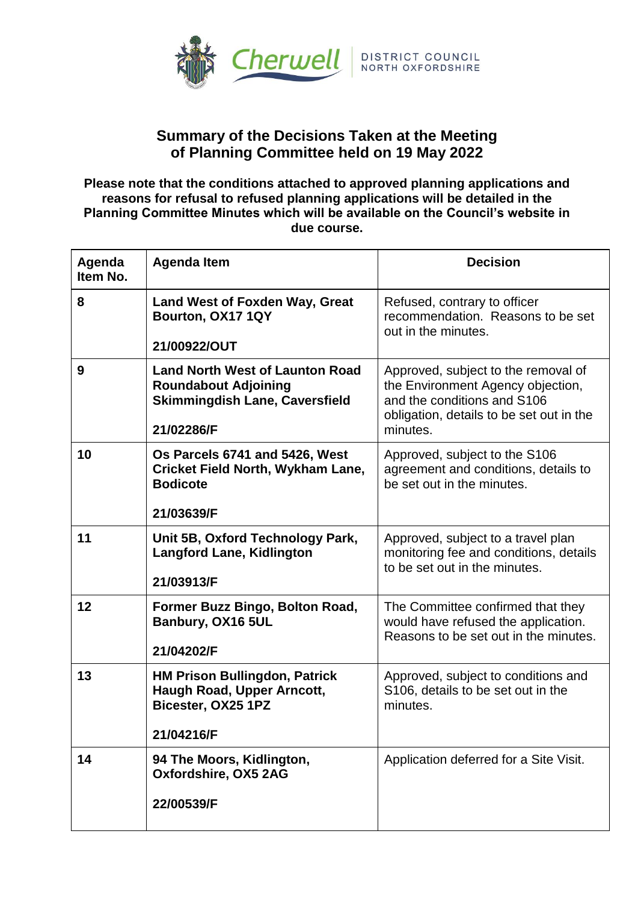

## **Summary of the Decisions Taken at the Meeting of Planning Committee held on 19 May 2022**

**Please note that the conditions attached to approved planning applications and reasons for refusal to refused planning applications will be detailed in the Planning Committee Minutes which will be available on the Council's website in due course.**

| Agenda<br>Item No. | <b>Agenda Item</b>                                                                                                           | <b>Decision</b>                                                                                                                                                 |
|--------------------|------------------------------------------------------------------------------------------------------------------------------|-----------------------------------------------------------------------------------------------------------------------------------------------------------------|
| 8                  | <b>Land West of Foxden Way, Great</b><br>Bourton, OX17 1QY<br>21/00922/OUT                                                   | Refused, contrary to officer<br>recommendation. Reasons to be set<br>out in the minutes.                                                                        |
| 9                  | <b>Land North West of Launton Road</b><br><b>Roundabout Adjoining</b><br><b>Skimmingdish Lane, Caversfield</b><br>21/02286/F | Approved, subject to the removal of<br>the Environment Agency objection,<br>and the conditions and S106<br>obligation, details to be set out in the<br>minutes. |
| 10                 | Os Parcels 6741 and 5426, West<br><b>Cricket Field North, Wykham Lane,</b><br><b>Bodicote</b><br>21/03639/F                  | Approved, subject to the S106<br>agreement and conditions, details to<br>be set out in the minutes.                                                             |
| 11                 | Unit 5B, Oxford Technology Park,<br><b>Langford Lane, Kidlington</b><br>21/03913/F                                           | Approved, subject to a travel plan<br>monitoring fee and conditions, details<br>to be set out in the minutes.                                                   |
| 12                 | Former Buzz Bingo, Bolton Road,<br>Banbury, OX16 5UL<br>21/04202/F                                                           | The Committee confirmed that they<br>would have refused the application.<br>Reasons to be set out in the minutes.                                               |
| 13                 | <b>HM Prison Bullingdon, Patrick</b><br>Haugh Road, Upper Arncott,<br>Bicester, OX25 1PZ<br>21/04216/F                       | Approved, subject to conditions and<br>S106, details to be set out in the<br>minutes.                                                                           |
| 14                 | 94 The Moors, Kidlington,<br>Oxfordshire, OX5 2AG<br>22/00539/F                                                              | Application deferred for a Site Visit.                                                                                                                          |